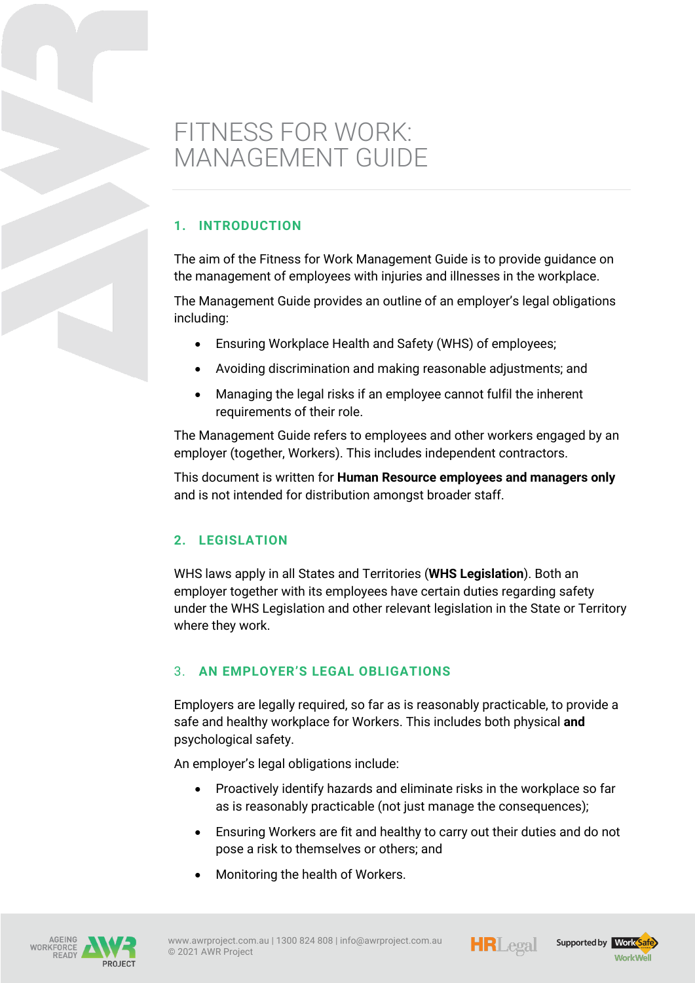# FITNESS FOR WORK: MANAGEMENT GUIDE

# **1. INTRODUCTION**

The aim of the Fitness for Work Management Guide is to provide guidance on the management of employees with injuries and illnesses in the workplace.

The Management Guide provides an outline of an employer's legal obligations including:

- Ensuring Workplace Health and Safety (WHS) of employees;
- Avoiding discrimination and making reasonable adjustments; and
- Managing the legal risks if an employee cannot fulfil the inherent requirements of their role.

The Management Guide refers to employees and other workers engaged by an employer (together, Workers). This includes independent contractors.

This document is written for **Human Resource employees and managers only** and is not intended for distribution amongst broader staff.

# **2. LEGISLATION**

WHS laws apply in all States and Territories (**WHS Legislation**). Both an employer together with its employees have certain duties regarding safety under the WHS Legislation and other relevant legislation in the State or Territory where they work.

# 3. **AN EMPLOYER'S LEGAL OBLIGATIONS**

Employers are legally required, so far as is reasonably practicable, to provide a safe and healthy workplace for Workers. This includes both physical **and** psychological safety.

An employer's legal obligations include:

- Proactively identify hazards and eliminate risks in the workplace so far as is reasonably practicable (not just manage the consequences);
- Ensuring Workers are fit and healthy to carry out their duties and do not pose a risk to themselves or others; and
- Monitoring the health of Workers.







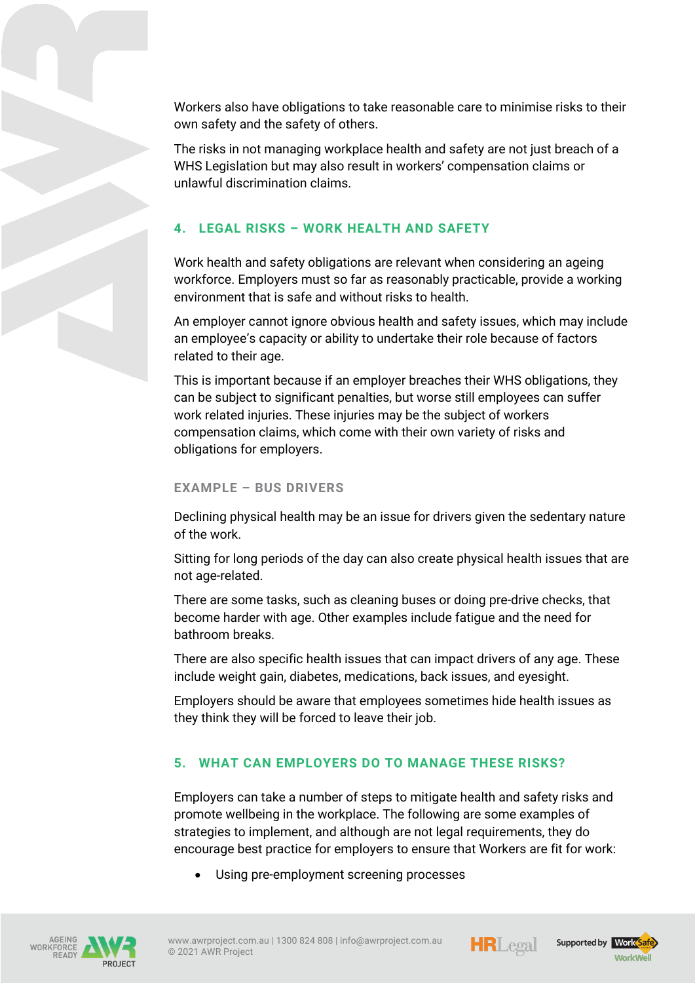Workers also have obligations to take reasonable care to minimise risks to their own safety and the safety of others.

The risks in not managing workplace health and safety are not just breach of a WHS Legislation but may also result in workers' compensation claims or unlawful discrimination claims.

# **4. LEGAL RISKS – WORK HEALTH AND SAFETY**

Work health and safety obligations are relevant when considering an ageing workforce. Employers must so far as reasonably practicable, provide a working environment that is safe and without risks to health.

An employer cannot ignore obvious health and safety issues, which may include an employee's capacity or ability to undertake their role because of factors related to their age.

This is important because if an employer breaches their WHS obligations, they can be subject to significant penalties, but worse still employees can suffer work related injuries. These injuries may be the subject of workers compensation claims, which come with their own variety of risks and obligations for employers.

#### **EXAMPLE – BUS DRIVERS**

Declining physical health may be an issue for drivers given the sedentary nature of the work.

Sitting for long periods of the day can also create physical health issues that are not age-related.

There are some tasks, such as cleaning buses or doing pre-drive checks, that become harder with age. Other examples include fatigue and the need for bathroom breaks.

There are also specific health issues that can impact drivers of any age. These include weight gain, diabetes, medications, back issues, and eyesight.

Employers should be aware that employees sometimes hide health issues as they think they will be forced to leave their job.

# **5. WHAT CAN EMPLOYERS DO TO MANAGE THESE RISKS?**

Employers can take a number of steps to mitigate health and safety risks and promote wellbeing in the workplace. The following are some examples of strategies to implement, and although are not legal requirements, they do encourage best practice for employers to ensure that Workers are fit for work:

Using pre-employment screening processes







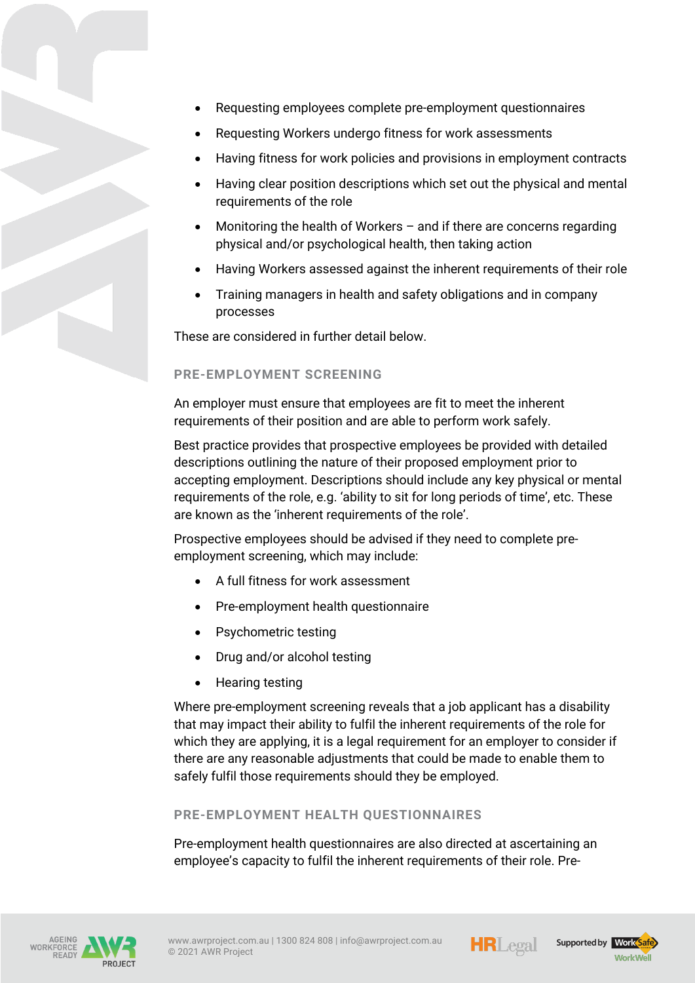- Requesting employees complete pre-employment questionnaires
- Requesting Workers undergo fitness for work assessments
- Having fitness for work policies and provisions in employment contracts
- Having clear position descriptions which set out the physical and mental requirements of the role
- Monitoring the health of Workers  $-$  and if there are concerns regarding physical and/or psychological health, then taking action
- Having Workers assessed against the inherent requirements of their role
- Training managers in health and safety obligations and in company processes

These are considered in further detail below.

#### **PRE-EMPLOYMENT SCREENING**

An employer must ensure that employees are fit to meet the inherent requirements of their position and are able to perform work safely.

Best practice provides that prospective employees be provided with detailed descriptions outlining the nature of their proposed employment prior to accepting employment. Descriptions should include any key physical or mental requirements of the role, e.g. 'ability to sit for long periods of time', etc. These are known as the 'inherent requirements of the role'.

Prospective employees should be advised if they need to complete preemployment screening, which may include:

- A full fitness for work assessment
- Pre-employment health questionnaire
- Psychometric testing
- Drug and/or alcohol testing
- Hearing testing

Where pre-employment screening reveals that a job applicant has a disability that may impact their ability to fulfil the inherent requirements of the role for which they are applying, it is a legal requirement for an employer to consider if there are any reasonable adjustments that could be made to enable them to safely fulfil those requirements should they be employed.

#### **PRE-EMPLOYMENT HEALTH QUESTIONNAIRES**

Pre-employment health questionnaires are also directed at ascertaining an employee's capacity to fulfil the inherent requirements of their role. Pre-







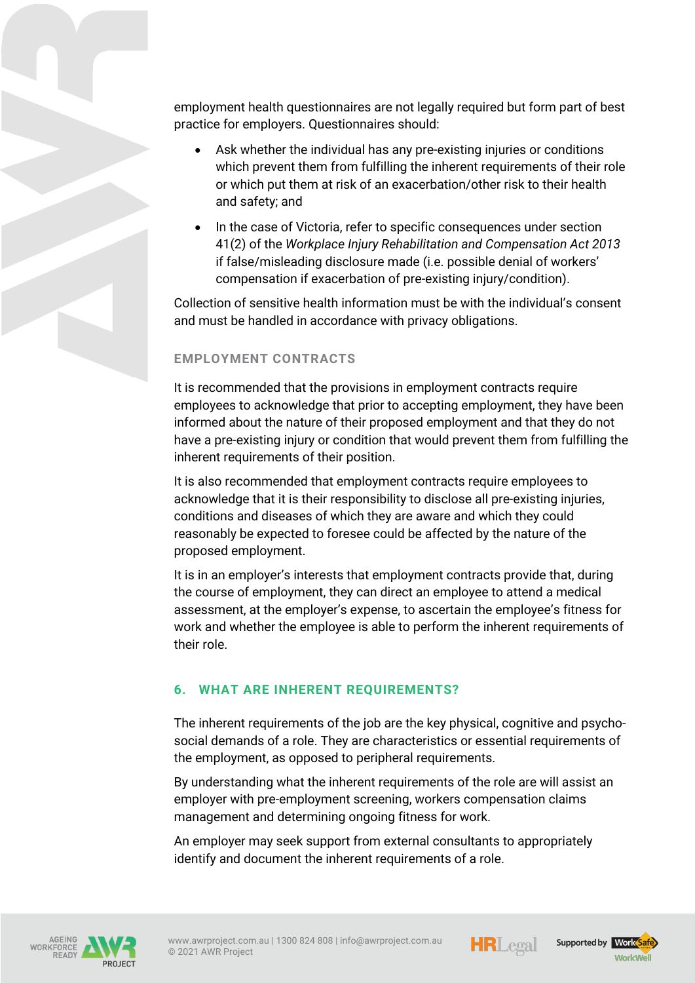employment health questionnaires are not legally required but form part of best practice for employers. Questionnaires should:

- Ask whether the individual has any pre-existing injuries or conditions which prevent them from fulfilling the inherent requirements of their role or which put them at risk of an exacerbation/other risk to their health and safety; and
- In the case of Victoria, refer to specific consequences under section 41(2) of the *Workplace Injury Rehabilitation and Compensation Act 2013*  if false/misleading disclosure made (i.e. possible denial of workers' compensation if exacerbation of pre-existing injury/condition).

Collection of sensitive health information must be with the individual's consent and must be handled in accordance with privacy obligations.

## **EMPLOYMENT CONTRACTS**

It is recommended that the provisions in employment contracts require employees to acknowledge that prior to accepting employment, they have been informed about the nature of their proposed employment and that they do not have a pre-existing injury or condition that would prevent them from fulfilling the inherent requirements of their position.

It is also recommended that employment contracts require employees to acknowledge that it is their responsibility to disclose all pre-existing injuries, conditions and diseases of which they are aware and which they could reasonably be expected to foresee could be affected by the nature of the proposed employment.

It is in an employer's interests that employment contracts provide that, during the course of employment, they can direct an employee to attend a medical assessment, at the employer's expense, to ascertain the employee's fitness for work and whether the employee is able to perform the inherent requirements of their role.

## **6. WHAT ARE INHERENT REQUIREMENTS?**

The inherent requirements of the job are the key physical, cognitive and psychosocial demands of a role. They are characteristics or essential requirements of the employment, as opposed to peripheral requirements.

By understanding what the inherent requirements of the role are will assist an employer with pre-employment screening, workers compensation claims management and determining ongoing fitness for work.

An employer may seek support from external consultants to appropriately identify and document the inherent requirements of a role.







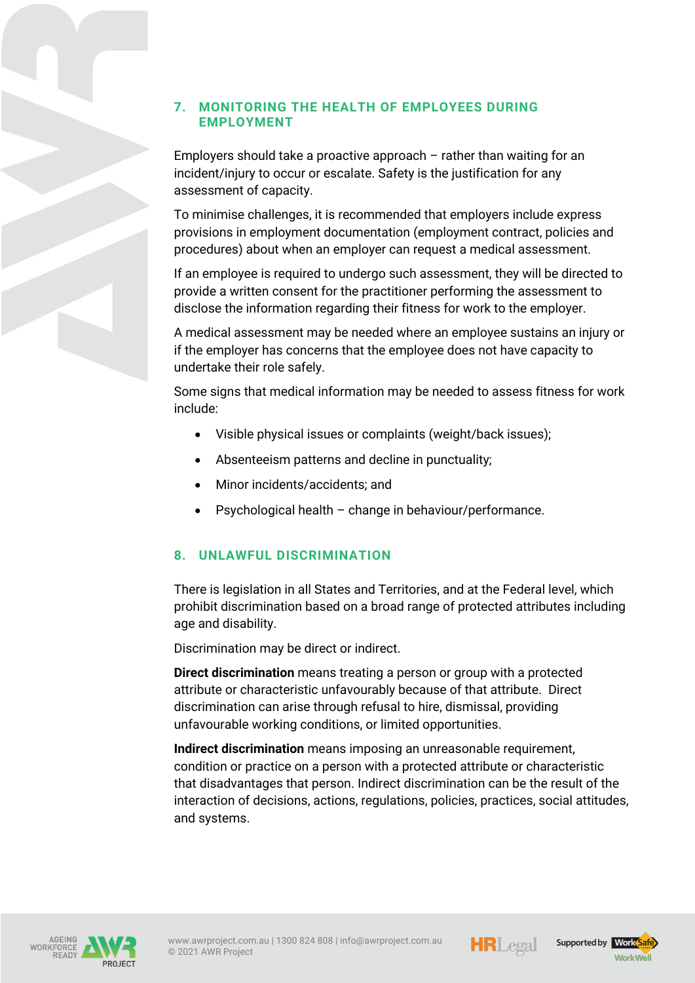## **7. MONITORING THE HEALTH OF EMPLOYEES DURING EMPLOYMENT**

Employers should take a proactive approach – rather than waiting for an incident/injury to occur or escalate. Safety is the justification for any assessment of capacity.

To minimise challenges, it is recommended that employers include express provisions in employment documentation (employment contract, policies and procedures) about when an employer can request a medical assessment.

If an employee is required to undergo such assessment, they will be directed to provide a written consent for the practitioner performing the assessment to disclose the information regarding their fitness for work to the employer.

A medical assessment may be needed where an employee sustains an injury or if the employer has concerns that the employee does not have capacity to undertake their role safely.

Some signs that medical information may be needed to assess fitness for work include:

- Visible physical issues or complaints (weight/back issues);
- Absenteeism patterns and decline in punctuality;
- Minor incidents/accidents; and
- Psychological health change in behaviour/performance.

## **8. UNLAWFUL DISCRIMINATION**

There is legislation in all States and Territories, and at the Federal level, which prohibit discrimination based on a broad range of protected attributes including age and disability.

Discrimination may be direct or indirect.

**Direct discrimination** means treating a person or group with a protected attribute or characteristic unfavourably because of that attribute. Direct discrimination can arise through refusal to hire, dismissal, providing unfavourable working conditions, or limited opportunities.

**Indirect discrimination** means imposing an unreasonable requirement, condition or practice on a person with a protected attribute or characteristic that disadvantages that person. Indirect discrimination can be the result of the interaction of decisions, actions, regulations, policies, practices, social attitudes, and systems.





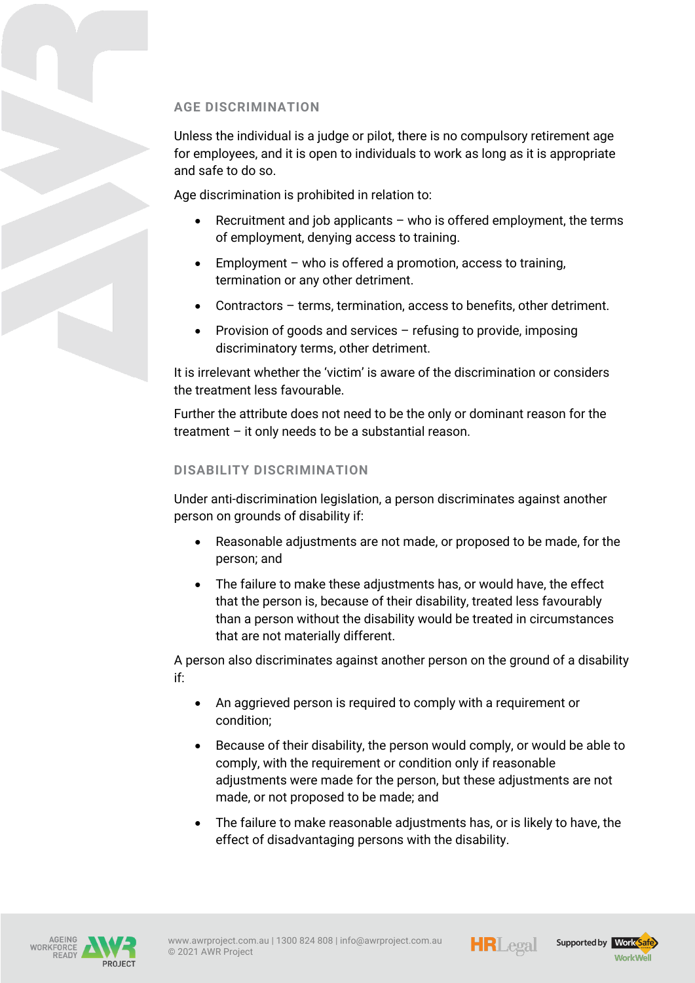## **AGE DISCRIMINATION**

Unless the individual is a judge or pilot, there is no compulsory retirement age for employees, and it is open to individuals to work as long as it is appropriate and safe to do so.

Age discrimination is prohibited in relation to:

- Recruitment and job applicants  $-$  who is offered employment, the terms of employment, denying access to training.
- Employment who is offered a promotion, access to training, termination or any other detriment.
- Contractors terms, termination, access to benefits, other detriment.
- Provision of goods and services refusing to provide, imposing discriminatory terms, other detriment.

It is irrelevant whether the 'victim' is aware of the discrimination or considers the treatment less favourable.

Further the attribute does not need to be the only or dominant reason for the treatment – it only needs to be a substantial reason.

#### **DISABILITY DISCRIMINATION**

Under anti-discrimination legislation, a person discriminates against another person on grounds of disability if:

- Reasonable adjustments are not made, or proposed to be made, for the person; and
- The failure to make these adjustments has, or would have, the effect that the person is, because of their disability, treated less favourably than a person without the disability would be treated in circumstances that are not materially different.

A person also discriminates against another person on the ground of a disability if:

- An aggrieved person is required to comply with a requirement or condition;
- Because of their disability, the person would comply, or would be able to comply, with the requirement or condition only if reasonable adjustments were made for the person, but these adjustments are not made, or not proposed to be made; and
- The failure to make reasonable adjustments has, or is likely to have, the effect of disadvantaging persons with the disability.





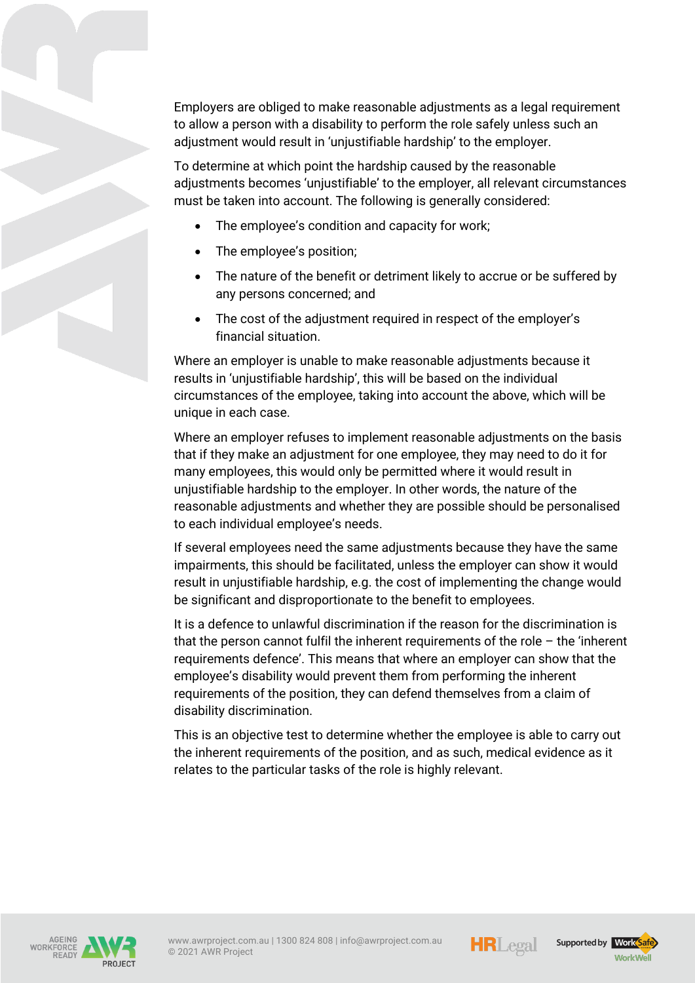Employers are obliged to make reasonable adjustments as a legal requirement to allow a person with a disability to perform the role safely unless such an adjustment would result in 'unjustifiable hardship' to the employer.

To determine at which point the hardship caused by the reasonable adjustments becomes 'unjustifiable' to the employer, all relevant circumstances must be taken into account. The following is generally considered:

- The employee's condition and capacity for work;
- The employee's position;
- The nature of the benefit or detriment likely to accrue or be suffered by any persons concerned; and
- The cost of the adjustment required in respect of the employer's financial situation.

Where an employer is unable to make reasonable adjustments because it results in 'unjustifiable hardship', this will be based on the individual circumstances of the employee, taking into account the above, which will be unique in each case.

Where an employer refuses to implement reasonable adjustments on the basis that if they make an adjustment for one employee, they may need to do it for many employees, this would only be permitted where it would result in unjustifiable hardship to the employer. In other words, the nature of the reasonable adjustments and whether they are possible should be personalised to each individual employee's needs.

If several employees need the same adjustments because they have the same impairments, this should be facilitated, unless the employer can show it would result in unjustifiable hardship, e.g. the cost of implementing the change would be significant and disproportionate to the benefit to employees.

It is a defence to unlawful discrimination if the reason for the discrimination is that the person cannot fulfil the inherent requirements of the role – the 'inherent requirements defence'. This means that where an employer can show that the employee's disability would prevent them from performing the inherent requirements of the position, they can defend themselves from a claim of disability discrimination.

This is an objective test to determine whether the employee is able to carry out the inherent requirements of the position, and as such, medical evidence as it relates to the particular tasks of the role is highly relevant.





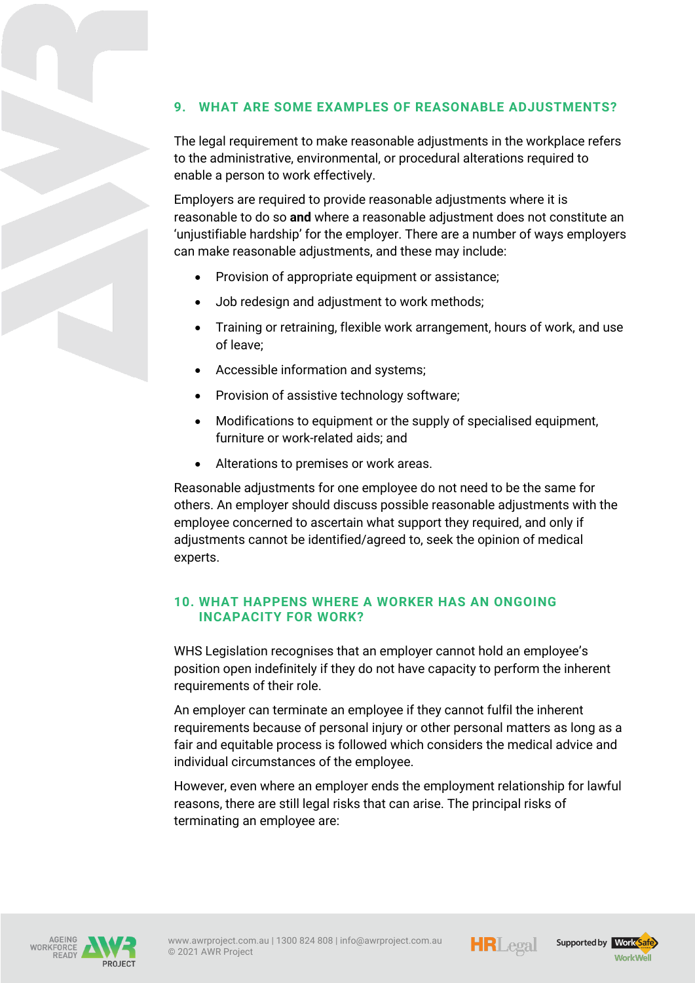# **9. WHAT ARE SOME EXAMPLES OF REASONABLE ADJUSTMENTS?**

The legal requirement to make reasonable adjustments in the workplace refers to the administrative, environmental, or procedural alterations required to enable a person to work effectively.

Employers are required to provide reasonable adjustments where it is reasonable to do so **and** where a reasonable adjustment does not constitute an 'unjustifiable hardship' for the employer. There are a number of ways employers can make reasonable adjustments, and these may include:

- Provision of appropriate equipment or assistance;
- Job redesign and adjustment to work methods;
- Training or retraining, flexible work arrangement, hours of work, and use of leave;
- Accessible information and systems;
- Provision of assistive technology software;
- Modifications to equipment or the supply of specialised equipment, furniture or work-related aids; and
- Alterations to premises or work areas.

Reasonable adjustments for one employee do not need to be the same for others. An employer should discuss possible reasonable adjustments with the employee concerned to ascertain what support they required, and only if adjustments cannot be identified/agreed to, seek the opinion of medical experts.

#### **10. WHAT HAPPENS WHERE A WORKER HAS AN ONGOING INCAPACITY FOR WORK?**

WHS Legislation recognises that an employer cannot hold an employee's position open indefinitely if they do not have capacity to perform the inherent requirements of their role.

An employer can terminate an employee if they cannot fulfil the inherent requirements because of personal injury or other personal matters as long as a fair and equitable process is followed which considers the medical advice and individual circumstances of the employee.

However, even where an employer ends the employment relationship for lawful reasons, there are still legal risks that can arise. The principal risks of terminating an employee are:







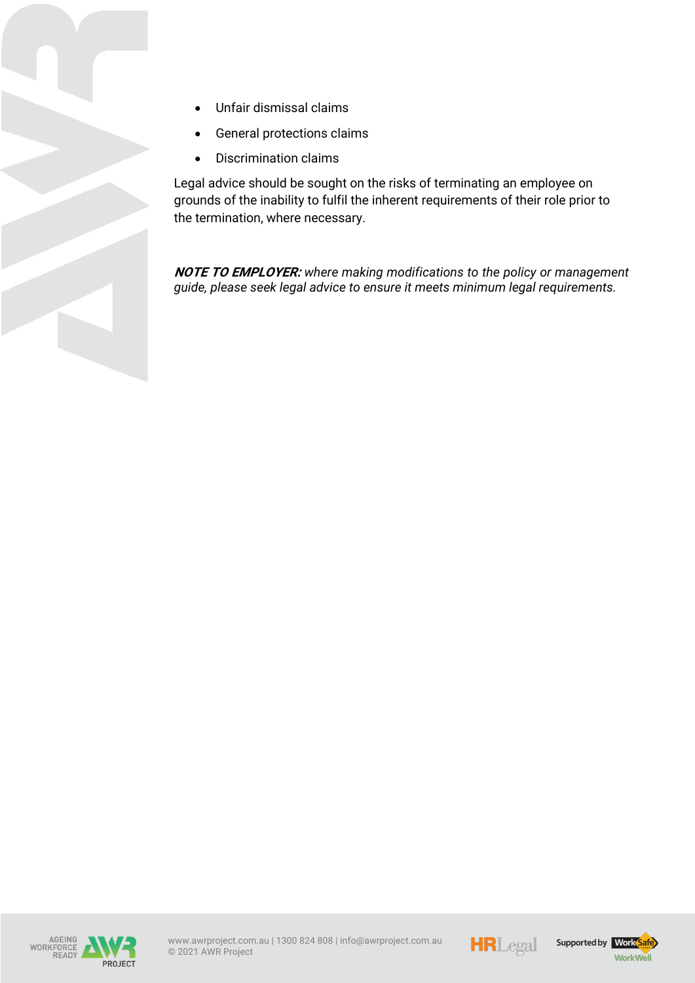- Unfair dismissal claims
- General protections claims
- Discrimination claims

Legal advice should be sought on the risks of terminating an employee on grounds of the inability to fulfil the inherent requirements of their role prior to the termination, where necessary.

**NOTE TO EMPLOYER:** *where making modifications to the policy or management guide, please seek legal advice to ensure it meets minimum legal requirements.* 





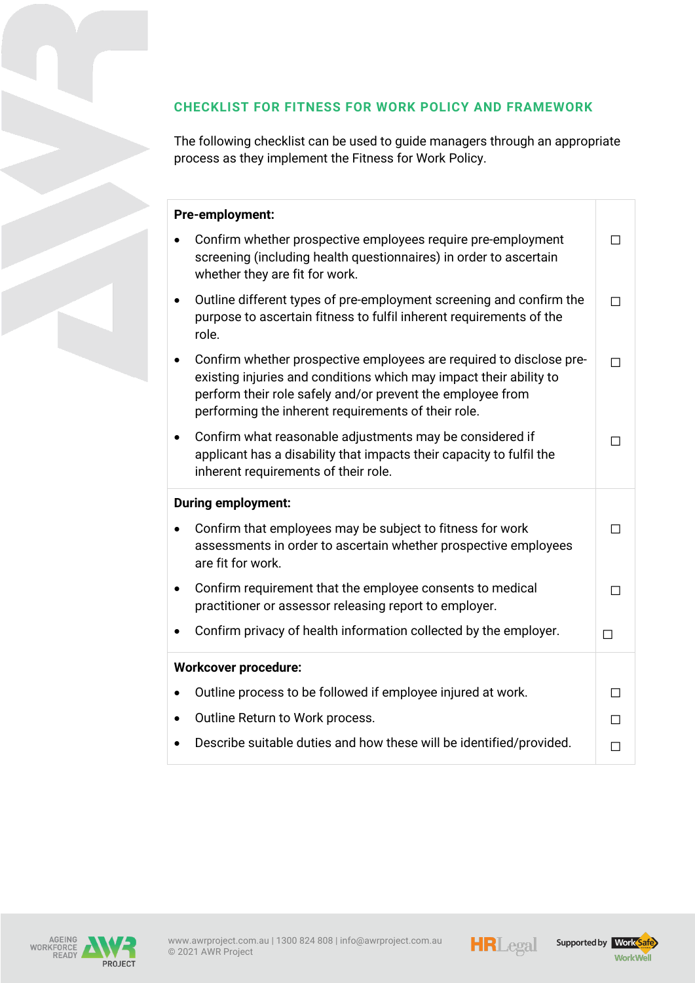# **CHECKLIST FOR FITNESS FOR WORK POLICY AND FRAMEWORK**

The following checklist can be used to guide managers through an appropriate process as they implement the Fitness for Work Policy.

# **Pre-employment:**

| <b>IC CHIPIOTHICHI</b>                                                                                                                                                                                                                                                      |   |
|-----------------------------------------------------------------------------------------------------------------------------------------------------------------------------------------------------------------------------------------------------------------------------|---|
| Confirm whether prospective employees require pre-employment<br>screening (including health questionnaires) in order to ascertain<br>whether they are fit for work.                                                                                                         |   |
| Outline different types of pre-employment screening and confirm the<br>$\bullet$<br>purpose to ascertain fitness to fulfil inherent requirements of the<br>role.                                                                                                            | П |
| Confirm whether prospective employees are required to disclose pre-<br>$\bullet$<br>existing injuries and conditions which may impact their ability to<br>perform their role safely and/or prevent the employee from<br>performing the inherent requirements of their role. | П |
| Confirm what reasonable adjustments may be considered if<br>٠<br>applicant has a disability that impacts their capacity to fulfil the<br>inherent requirements of their role.                                                                                               | П |
| <b>During employment:</b>                                                                                                                                                                                                                                                   |   |
| Confirm that employees may be subject to fitness for work<br>$\bullet$<br>assessments in order to ascertain whether prospective employees<br>are fit for work.                                                                                                              |   |
| Confirm requirement that the employee consents to medical<br>$\bullet$<br>practitioner or assessor releasing report to employer.                                                                                                                                            |   |
| Confirm privacy of health information collected by the employer.<br>٠                                                                                                                                                                                                       | П |
| <b>Workcover procedure:</b>                                                                                                                                                                                                                                                 |   |
| Outline process to be followed if employee injured at work.<br>$\bullet$                                                                                                                                                                                                    |   |
| Outline Return to Work process.<br>$\bullet$                                                                                                                                                                                                                                | П |
|                                                                                                                                                                                                                                                                             |   |